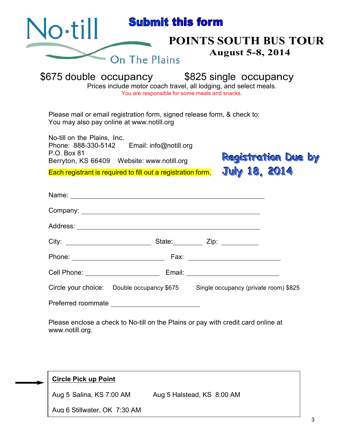| $\sim$ till                                                                                                                                                                                                                   | <b>Submit this form</b>                        |                                                                                                                   |
|-------------------------------------------------------------------------------------------------------------------------------------------------------------------------------------------------------------------------------|------------------------------------------------|-------------------------------------------------------------------------------------------------------------------|
|                                                                                                                                                                                                                               |                                                | POINTS SOUTH BUS TOUR                                                                                             |
|                                                                                                                                                                                                                               | On The Plains                                  | <b>August 5-8, 2014</b>                                                                                           |
|                                                                                                                                                                                                                               | You are responsible for some meals and snacks. | \$675 double occupancy 5825 single occupancy<br>Prices include motor coach travel, all lodging, and select meals. |
| Please mail or email registration form, signed release form, & check to:<br>You may also pay online at www.notill.org                                                                                                         |                                                |                                                                                                                   |
| No-till on the Plains, Inc.<br>Phone: 888-330-5142 Email: info@notill.org<br>P.O. Box 81                                                                                                                                      |                                                |                                                                                                                   |
| Berryton, KS 66409 Website: www.notill.org                                                                                                                                                                                    |                                                | <b>Registration Due by</b><br><b>July 18, 2014</b>                                                                |
| Each registrant is required to fill out a registration form.                                                                                                                                                                  |                                                |                                                                                                                   |
|                                                                                                                                                                                                                               |                                                |                                                                                                                   |
|                                                                                                                                                                                                                               |                                                |                                                                                                                   |
|                                                                                                                                                                                                                               |                                                |                                                                                                                   |
| City: City: City: City: City: City: City: City: City: City: City: City: City: City: City: City: City: City: City: City: City: City: City: City: City: City: City: City: City: City: City: City: City: City: City: City: City: |                                                |                                                                                                                   |
|                                                                                                                                                                                                                               |                                                |                                                                                                                   |
|                                                                                                                                                                                                                               |                                                |                                                                                                                   |
|                                                                                                                                                                                                                               |                                                | Circle your choice: Double occupancy \$675 Single occupancy (private room) \$825                                  |
|                                                                                                                                                                                                                               |                                                |                                                                                                                   |
| www.notill.org.                                                                                                                                                                                                               |                                                | Please enclose a check to No-till on the Plains or pay with credit card online at                                 |
|                                                                                                                                                                                                                               |                                                |                                                                                                                   |
|                                                                                                                                                                                                                               |                                                |                                                                                                                   |
|                                                                                                                                                                                                                               |                                                |                                                                                                                   |

Aug 5 Salina, KS 7:00 AM Aug 5 Halstead, KS 8:00 AM

Aug 6 Stillwater, OK 7:30 AM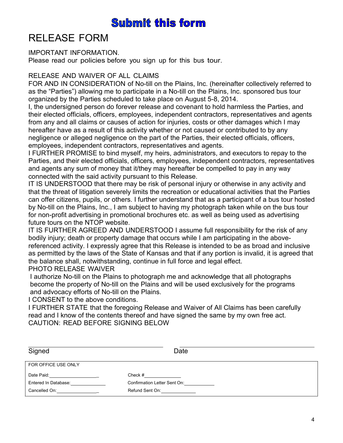# **Submit this form**

# RELEASE FORM

#### IMPORTANT INFORMATION.

Please read our policies before you sign up for this bus tour.

#### RELEASE AND WAIVER OF ALL CLAIMS

FOR AND IN CONSIDERATION of No-till on the Plains, Inc. (hereinafter collectively referred to as the "Parties") allowing me to participate in a No-till on the Plains, Inc. sponsored bus tour organized by the Parties scheduled to take place on August 5-8, 2014.

I, the undersigned person do forever release and covenant to hold harmless the Parties, and their elected officials, officers, employees, independent contractors, representatives and agents from any and all claims or causes of action for injuries, costs or other damages which I may hereafter have as a result of this activity whether or not caused or contributed to by any negligence or alleged negligence on the part of the Parties, their elected officials, officers, employees, independent contractors, representatives and agents.

I FURTHER PROMISE to bind myself, my heirs, administrators, and executors to repay to the Parties, and their elected officials, officers, employees, independent contractors, representatives and agents any sum of money that it/they may hereafter be compelled to pay in any way connected with the said activity pursuant to this Release.

IT IS UNDERSTOOD that there may be risk of personal injury or otherwise in any activity and that the threat of litigation severely limits the recreation or educational activities that the Parties can offer citizens, pupils, or others. I further understand that as a participant of a bus tour hosted by No-till on the Plains, Inc., I am subject to having my photograph taken while on the bus tour for non-profit advertising in promotional brochures etc. as well as being used as advertising future tours on the NTOP website.

IT IS FURTHER AGREED AND UNDERSTOOD I assume full responsibility for the risk of any bodily injury; death or property damage that occurs while I am participating in the abovereferenced activity. I expressly agree that this Release is intended to be as broad and inclusive as permitted by the laws of the State of Kansas and that if any portion is invalid, it is agreed that the balance shall, notwithstanding, continue in full force and legal effect. PHOTO RELEASE WAIVER

I authorize No-till on the Plains to photograph me and acknowledge that all photographs become the property of No-till on the Plains and will be used exclusively for the programs and advocacy efforts of No-till on the Plains.

I CONSENT to the above conditions.

I FURTHER STATE that the foregoing Release and Waiver of All Claims has been carefully read and I know of the contents thereof and have signed the same by my own free act. CAUTION: READ BEFORE SIGNING BELOW

| Signed               | Date                         |
|----------------------|------------------------------|
| FOR OFFICE USE ONLY  |                              |
| Date Paid:           | Check #                      |
| Entered In Database: | Confirmation Letter Sent On: |
| Cancelled On:        | Refund Sent On: Network      |